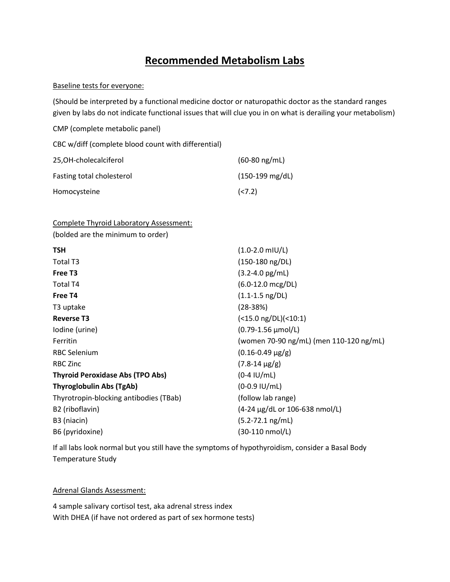## **Recommended Metabolism Labs**

## Baseline tests for everyone:

(Should be interpreted by a functional medicine doctor or naturopathic doctor as the standard ranges given by labs do not indicate functional issues that will clue you in on what is derailing your metabolism)

| CMP (complete metabolic panel)                      |                           |
|-----------------------------------------------------|---------------------------|
| CBC w/diff (complete blood count with differential) |                           |
| 25,OH-cholecalciferol                               | $(60-80)$ ng/mL)          |
| Fasting total cholesterol                           | $(150-199 \text{ mg/dL})$ |
| Homocysteine                                        | (< 7.2)                   |

Complete Thyroid Laboratory Assessment:

(bolded are the minimum to order)

| <b>TSH</b>                              | $(1.0-2.0$ mIU/L)                                    |  |
|-----------------------------------------|------------------------------------------------------|--|
| Total T3                                | (150-180 ng/DL)                                      |  |
| Free T <sub>3</sub>                     | $(3.2 - 4.0 \text{ pg/mL})$                          |  |
| Total T4                                | $(6.0-12.0$ mcg/DL)                                  |  |
| Free T4                                 | $(1.1 - 1.5 \text{ ng/DL})$                          |  |
| T3 uptake                               | $(28-38%)$                                           |  |
| <b>Reverse T3</b>                       | $(<15.0$ ng/DL $)<10:1$                              |  |
| Iodine (urine)                          | (0.79-1.56 µmol/L)                                   |  |
| Ferritin                                | (women 70-90 ng/mL) (men 110-120 ng/mL)              |  |
| <b>RBC Selenium</b>                     | $(0.16 - 0.49 \mu g/g)$                              |  |
| <b>RBC Zinc</b>                         | $(7.8-14 \mu g/g)$                                   |  |
| <b>Thyroid Peroxidase Abs (TPO Abs)</b> | $(0-4 IU/mL)$                                        |  |
| <b>Thyroglobulin Abs (TgAb)</b>         | $(0-0.9 \text{ IU/mL})$                              |  |
| Thyrotropin-blocking antibodies (TBab)  | (follow lab range)                                   |  |
| B2 (riboflavin)                         | $(4-24 \mu g/dL \text{ or } 106-638 \text{ nmol/L})$ |  |
| B3 (niacin)                             | $(5.2 - 72.1$ ng/mL)                                 |  |
| B6 (pyridoxine)                         | (30-110 nmol/L)                                      |  |
|                                         |                                                      |  |

If all labs look normal but you still have the symptoms of hypothyroidism, consider a Basal Body Temperature Study

Adrenal Glands Assessment:

4 sample salivary cortisol test, aka adrenal stress index With DHEA (if have not ordered as part of sex hormone tests)